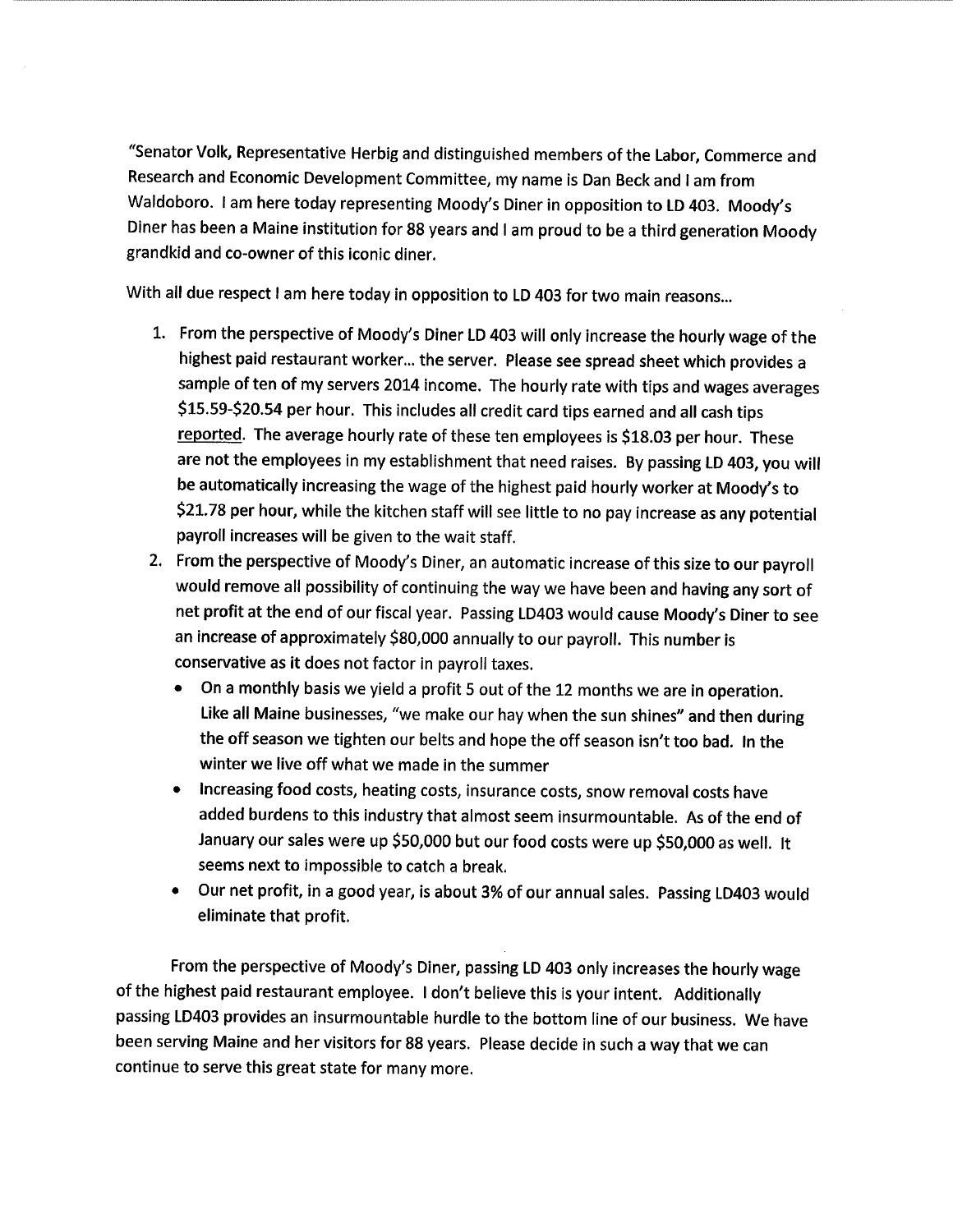"Senator Volk, Representative Herbig and distinguished members of the Labor, Commerce and Research and Economic Development Committee, my name is Dan Beck and I am from Waldoboro. lam here today representing Moody's Diner in opposition to LD 403. Moody's Diner has been a Maine institution for 88 years and I am proud to be a third generation Moody grandkid and co-owner of this iconic diner.

With all due respect I am here today in opposition to LD 403 for two main reasons...

- 1. From the perspective of Moody's Diner LD 403 will only increase the hourly wage of the highest paid restaurant worker... the server. Please see spread sheet which provides a sample of ten of my servers 2014 income. The hourly rate with tips and wages averages \$15.59-\$20.54 per hour. This includes all credit card tips earned and all cash tips reported. The average hourly rate of these ten employees is \$18.03 per hour. These are not the employees in my establishment that need raises. By passing LD 403, you will be automatically increasing the wage of the highest paid hourly worker at Moody's to \$21.78 per hour, while the kitchen staff will see little to no pay increase as any potential payroll increases will be given to the wait staff.
- 2. From the perspective of Moody's Diner, an automatic increase of this size to our payroll would remove all possibility of continuing the way we have been and having any sort of net profit at the end of our fiscal year. Passing LD403 would cause Moody's Diner to see an increase of approximately \$80,000 annually to our payroll. This number is conservative as it does not factor in payroll taxes.
	- On a monthly basis we yield a profit 5 out of the 12 months we are in operation. Like all Maine businesses, "we make our hay when the sun shines" and then during the off season we tighten our belts and hope the off season isn't too bad. In the winter we live off what we made in the summer
	- Increasing food costs, heating costs, insurance costs, snow removal costs have added burdens to this industry that almost seem insurmountable. As of the end of January our sales were up \$50,000 but our food costs were up \$50,000 as well. It seems next to impossible to catch a break.
	- Our net profit, in a good year, is about 3% of our annual sales. Passing LD403 would eliminate that profit.

From the perspective of Moody's Diner, passing LD 403 only increases the hourly wage of the highest paid restaurant employee. I don't believe this is your intent. Additionally passing LD403 provides an insurmountable hurdle to the bottom line of our business. We have been serving Maine and her visitors for 88 years. Please decide in such a way that we can continue to serve this great state for many more.